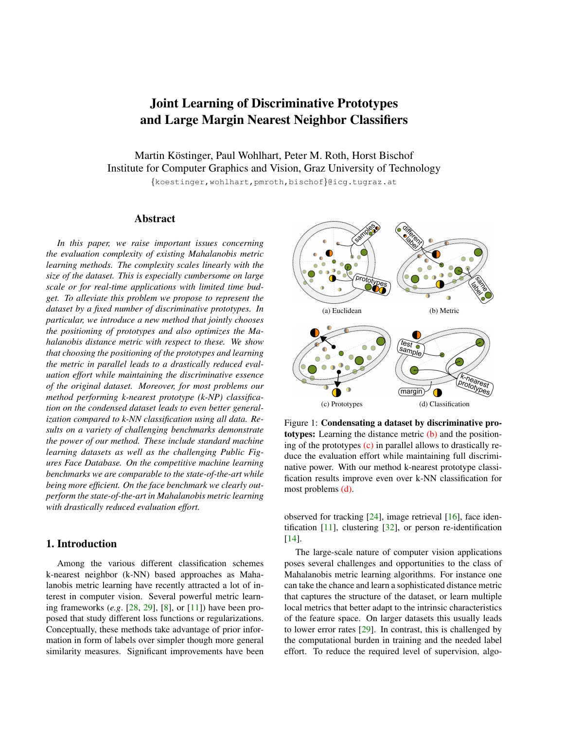# <span id="page-0-4"></span>Joint Learning of Discriminative Prototypes and Large Margin Nearest Neighbor Classifiers

Martin Köstinger, Paul Wohlhart, Peter M. Roth, Horst Bischof Institute for Computer Graphics and Vision, Graz University of Technology {koestinger,wohlhart,pmroth,bischof}@icg.tugraz.at

## Abstract

*In this paper, we raise important issues concerning the evaluation complexity of existing Mahalanobis metric learning methods. The complexity scales linearly with the size of the dataset. This is especially cumbersome on large scale or for real-time applications with limited time budget. To alleviate this problem we propose to represent the dataset by a fixed number of discriminative prototypes. In particular, we introduce a new method that jointly chooses the positioning of prototypes and also optimizes the Mahalanobis distance metric with respect to these. We show that choosing the positioning of the prototypes and learning the metric in parallel leads to a drastically reduced evaluation effort while maintaining the discriminative essence of the original dataset. Moreover, for most problems our method performing k-nearest prototype (k-NP) classification on the condensed dataset leads to even better generalization compared to k-NN classification using all data. Results on a variety of challenging benchmarks demonstrate the power of our method. These include standard machine learning datasets as well as the challenging Public Figures Face Database. On the competitive machine learning benchmarks we are comparable to the state-of-the-art while being more efficient. On the face benchmark we clearly outperform the state-of-the-art in Mahalanobis metric learning with drastically reduced evaluation effort.*

# 1. Introduction

Among the various different classification schemes k-nearest neighbor (k-NN) based approaches as Mahalanobis metric learning have recently attracted a lot of interest in computer vision. Several powerful metric learning frameworks (*e.g*. [\[28,](#page-7-0) [29\]](#page-7-1), [\[8\]](#page-7-2), or [\[11\]](#page-7-3)) have been proposed that study different loss functions or regularizations. Conceptually, these methods take advantage of prior information in form of labels over simpler though more general similarity measures. Significant improvements have been

<span id="page-0-3"></span><span id="page-0-0"></span>

<span id="page-0-2"></span><span id="page-0-1"></span>Figure 1: Condensating a dataset by discriminative prototypes: Learning the distance metric  $(b)$  and the positioning of the prototypes [\(c\)](#page-0-1) in parallel allows to drastically reduce the evaluation effort while maintaining full discriminative power. With our method k-nearest prototype classification results improve even over k-NN classification for most problems [\(d\).](#page-0-2)

observed for tracking [\[24\]](#page-7-4), image retrieval [\[16\]](#page-7-5), face identification [\[11\]](#page-7-3), clustering [\[32\]](#page-7-6), or person re-identification [\[14\]](#page-7-7).

The large-scale nature of computer vision applications poses several challenges and opportunities to the class of Mahalanobis metric learning algorithms. For instance one can take the chance and learn a sophisticated distance metric that captures the structure of the dataset, or learn multiple local metrics that better adapt to the intrinsic characteristics of the feature space. On larger datasets this usually leads to lower error rates [\[29\]](#page-7-1). In contrast, this is challenged by the computational burden in training and the needed label effort. To reduce the required level of supervision, algo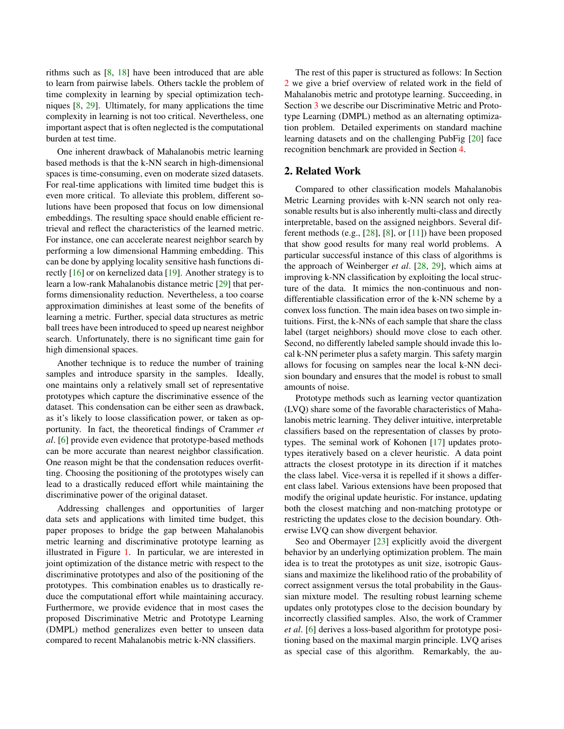<span id="page-1-1"></span>rithms such as [\[8,](#page-7-2) [18\]](#page-7-8) have been introduced that are able to learn from pairwise labels. Others tackle the problem of time complexity in learning by special optimization techniques [\[8,](#page-7-2) [29\]](#page-7-1). Ultimately, for many applications the time complexity in learning is not too critical. Nevertheless, one important aspect that is often neglected is the computational burden at test time.

One inherent drawback of Mahalanobis metric learning based methods is that the k-NN search in high-dimensional spaces is time-consuming, even on moderate sized datasets. For real-time applications with limited time budget this is even more critical. To alleviate this problem, different solutions have been proposed that focus on low dimensional embeddings. The resulting space should enable efficient retrieval and reflect the characteristics of the learned metric. For instance, one can accelerate nearest neighbor search by performing a low dimensional Hamming embedding. This can be done by applying locality sensitive hash functions directly [\[16\]](#page-7-5) or on kernelized data [\[19\]](#page-7-9). Another strategy is to learn a low-rank Mahalanobis distance metric [\[29\]](#page-7-1) that performs dimensionality reduction. Nevertheless, a too coarse approximation diminishes at least some of the benefits of learning a metric. Further, special data structures as metric ball trees have been introduced to speed up nearest neighbor search. Unfortunately, there is no significant time gain for high dimensional spaces.

Another technique is to reduce the number of training samples and introduce sparsity in the samples. Ideally, one maintains only a relatively small set of representative prototypes which capture the discriminative essence of the dataset. This condensation can be either seen as drawback, as it's likely to loose classification power, or taken as opportunity. In fact, the theoretical findings of Crammer *et al*. [\[6\]](#page-7-10) provide even evidence that prototype-based methods can be more accurate than nearest neighbor classification. One reason might be that the condensation reduces overfitting. Choosing the positioning of the prototypes wisely can lead to a drastically reduced effort while maintaining the discriminative power of the original dataset.

Addressing challenges and opportunities of larger data sets and applications with limited time budget, this paper proposes to bridge the gap between Mahalanobis metric learning and discriminative prototype learning as illustrated in Figure [1.](#page-0-3) In particular, we are interested in joint optimization of the distance metric with respect to the discriminative prototypes and also of the positioning of the prototypes. This combination enables us to drastically reduce the computational effort while maintaining accuracy. Furthermore, we provide evidence that in most cases the proposed Discriminative Metric and Prototype Learning (DMPL) method generalizes even better to unseen data compared to recent Mahalanobis metric k-NN classifiers.

The rest of this paper is structured as follows: In Section [2](#page-1-0) we give a brief overview of related work in the field of Mahalanobis metric and prototype learning. Succeeding, in Section [3](#page-2-0) we describe our Discriminative Metric and Prototype Learning (DMPL) method as an alternating optimization problem. Detailed experiments on standard machine learning datasets and on the challenging PubFig [\[20\]](#page-7-11) face recognition benchmark are provided in Section [4.](#page-4-0)

# <span id="page-1-0"></span>2. Related Work

Compared to other classification models Mahalanobis Metric Learning provides with k-NN search not only reasonable results but is also inherently multi-class and directly interpretable, based on the assigned neighbors. Several different methods (e.g.,  $[28]$ ,  $[8]$ , or  $[11]$ ) have been proposed that show good results for many real world problems. A particular successful instance of this class of algorithms is the approach of Weinberger *et al*. [\[28,](#page-7-0) [29\]](#page-7-1), which aims at improving k-NN classification by exploiting the local structure of the data. It mimics the non-continuous and nondifferentiable classification error of the k-NN scheme by a convex loss function. The main idea bases on two simple intuitions. First, the k-NNs of each sample that share the class label (target neighbors) should move close to each other. Second, no differently labeled sample should invade this local k-NN perimeter plus a safety margin. This safety margin allows for focusing on samples near the local k-NN decision boundary and ensures that the model is robust to small amounts of noise.

Prototype methods such as learning vector quantization (LVQ) share some of the favorable characteristics of Mahalanobis metric learning. They deliver intuitive, interpretable classifiers based on the representation of classes by prototypes. The seminal work of Kohonen [\[17\]](#page-7-12) updates prototypes iteratively based on a clever heuristic. A data point attracts the closest prototype in its direction if it matches the class label. Vice-versa it is repelled if it shows a different class label. Various extensions have been proposed that modify the original update heuristic. For instance, updating both the closest matching and non-matching prototype or restricting the updates close to the decision boundary. Otherwise LVQ can show divergent behavior.

Seo and Obermayer [\[23\]](#page-7-13) explicitly avoid the divergent behavior by an underlying optimization problem. The main idea is to treat the prototypes as unit size, isotropic Gaussians and maximize the likelihood ratio of the probability of correct assignment versus the total probability in the Gaussian mixture model. The resulting robust learning scheme updates only prototypes close to the decision boundary by incorrectly classified samples. Also, the work of Crammer *et al*. [\[6\]](#page-7-10) derives a loss-based algorithm for prototype positioning based on the maximal margin principle. LVQ arises as special case of this algorithm. Remarkably, the au-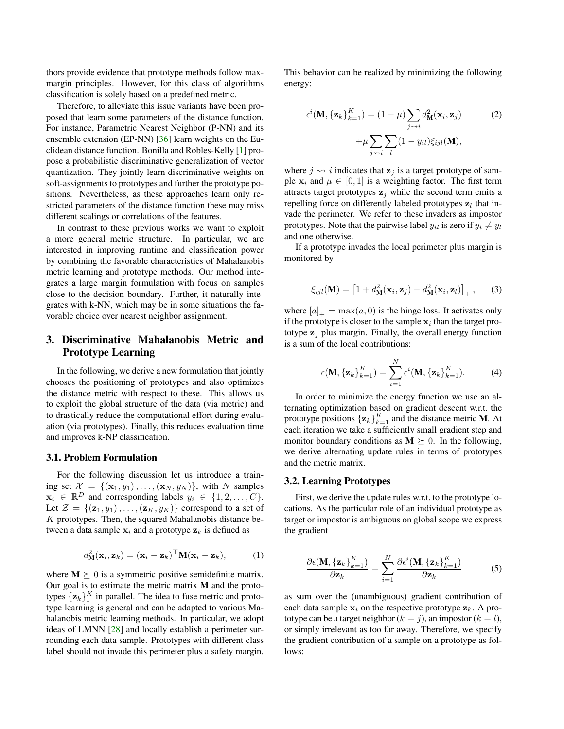<span id="page-2-2"></span>thors provide evidence that prototype methods follow maxmargin principles. However, for this class of algorithms classification is solely based on a predefined metric.

Therefore, to alleviate this issue variants have been proposed that learn some parameters of the distance function. For instance, Parametric Nearest Neighbor (P-NN) and its ensemble extension (EP-NN) [\[36\]](#page-7-14) learn weights on the Euclidean distance function. Bonilla and Robles-Kelly [\[1\]](#page-7-15) propose a probabilistic discriminative generalization of vector quantization. They jointly learn discriminative weights on soft-assignments to prototypes and further the prototype positions. Nevertheless, as these approaches learn only restricted parameters of the distance function these may miss different scalings or correlations of the features.

In contrast to these previous works we want to exploit a more general metric structure. In particular, we are interested in improving runtime and classification power by combining the favorable characteristics of Mahalanobis metric learning and prototype methods. Our method integrates a large margin formulation with focus on samples close to the decision boundary. Further, it naturally integrates with k-NN, which may be in some situations the favorable choice over nearest neighbor assignment.

# <span id="page-2-0"></span>3. Discriminative Mahalanobis Metric and Prototype Learning

In the following, we derive a new formulation that jointly chooses the positioning of prototypes and also optimizes the distance metric with respect to these. This allows us to exploit the global structure of the data (via metric) and to drastically reduce the computational effort during evaluation (via prototypes). Finally, this reduces evaluation time and improves k-NP classification.

# 3.1. Problem Formulation

For the following discussion let us introduce a training set  $\mathcal{X} = \{(\mathbf{x}_1, y_1), \dots, (\mathbf{x}_N, y_N)\}\$ , with N samples  $\mathbf{x}_i \in \mathbb{R}^D$  and corresponding labels  $y_i \in \{1, 2, ..., C\}$ . Let  $\mathcal{Z} = \{(\mathbf{z}_1, y_1), \dots, (\mathbf{z}_K, y_K)\}\)$  correspond to a set of  $K$  prototypes. Then, the squared Mahalanobis distance between a data sample  $x_i$  and a prototype  $z_k$  is defined as

<span id="page-2-1"></span>
$$
d_{\mathbf{M}}^2(\mathbf{x}_i, \mathbf{z}_k) = (\mathbf{x}_i - \mathbf{z}_k)^\top \mathbf{M}(\mathbf{x}_i - \mathbf{z}_k),
$$
 (1)

where  $M \succeq 0$  is a symmetric positive semidefinite matrix. Our goal is to estimate the metric matrix M and the prototypes  $\{z_k\}_1^K$  in parallel. The idea to fuse metric and prototype learning is general and can be adapted to various Mahalanobis metric learning methods. In particular, we adopt ideas of LMNN [\[28\]](#page-7-0) and locally establish a perimeter surrounding each data sample. Prototypes with different class label should not invade this perimeter plus a safety margin.

This behavior can be realized by minimizing the following energy:

$$
\epsilon^{i}(\mathbf{M}, \{\mathbf{z}_{k}\}_{k=1}^{K}) = (1 - \mu) \sum_{j \leadsto i} d_{\mathbf{M}}^{2}(\mathbf{x}_{i}, \mathbf{z}_{j})
$$
(2)  
+ 
$$
\mu \sum_{j \leadsto i} \sum_{l} (1 - y_{il}) \xi_{ijl}(\mathbf{M}),
$$

where  $j \rightsquigarrow i$  indicates that  $z_j$  is a target prototype of sample  $x_i$  and  $\mu \in [0, 1]$  is a weighting factor. The first term attracts target prototypes  $z_j$  while the second term emits a repelling force on differently labeled prototypes  $z_l$  that invade the perimeter. We refer to these invaders as impostor prototypes. Note that the pairwise label  $y_{il}$  is zero if  $y_i \neq y_l$ and one otherwise.

If a prototype invades the local perimeter plus margin is monitored by

$$
\xi_{ijl}(\mathbf{M}) = \left[1 + d_{\mathbf{M}}^2(\mathbf{x}_i, \mathbf{z}_j) - d_{\mathbf{M}}^2(\mathbf{x}_i, \mathbf{z}_l)\right]_+, \qquad (3)
$$

where  $[a]_+ = \max(a, 0)$  is the hinge loss. It activates only if the prototype is closer to the sample  $x_i$  than the target prototype  $z_i$  plus margin. Finally, the overall energy function is a sum of the local contributions:

$$
\epsilon(\mathbf{M}, \{\mathbf{z}_k\}_{k=1}^K) = \sum_{i=1}^N \epsilon^i(\mathbf{M}, \{\mathbf{z}_k\}_{k=1}^K).
$$
 (4)

In order to minimize the energy function we use an alternating optimization based on gradient descent w.r.t. the prototype positions  ${\mathbf{z}_k}_{k=1}^K$  and the distance metric **M**. At each iteration we take a sufficiently small gradient step and monitor boundary conditions as  $M \succeq 0$ . In the following, we derive alternating update rules in terms of prototypes and the metric matrix.

#### 3.2. Learning Prototypes

First, we derive the update rules w.r.t. to the prototype locations. As the particular role of an individual prototype as target or impostor is ambiguous on global scope we express the gradient

$$
\frac{\partial \epsilon(\mathbf{M}, \{\mathbf{z}_k\}_{k=1}^K)}{\partial \mathbf{z}_k} = \sum_{i=1}^N \frac{\partial \epsilon^i(\mathbf{M}, \{\mathbf{z}_k\}_{k=1}^K)}{\partial \mathbf{z}_k}
$$
(5)

as sum over the (unambiguous) gradient contribution of each data sample  $x_i$  on the respective prototype  $z_k$ . A prototype can be a target neighbor  $(k = j)$ , an impostor  $(k = l)$ , or simply irrelevant as too far away. Therefore, we specify the gradient contribution of a sample on a prototype as follows: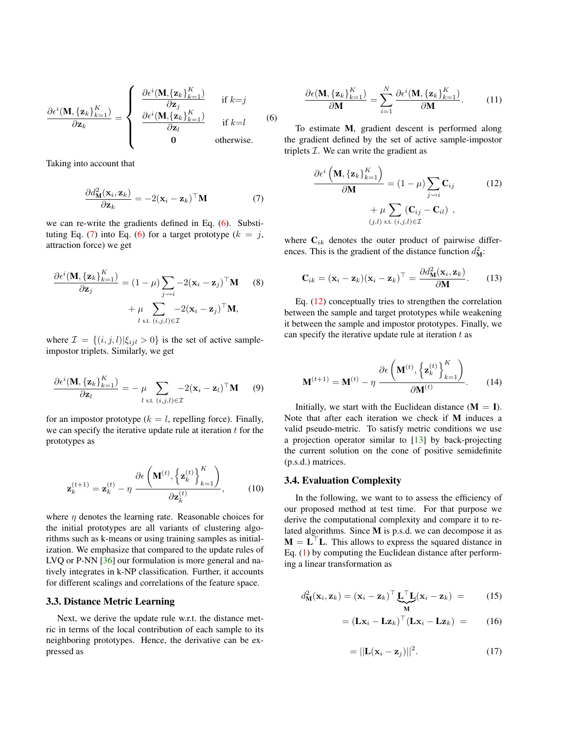<span id="page-3-5"></span><span id="page-3-0"></span>
$$
\frac{\partial \epsilon^{i}(\mathbf{M}, \{\mathbf{z}_{k}\}_{k=1}^{K})}{\partial \mathbf{z}_{k}} = \begin{cases} \frac{\partial \epsilon^{i}(\mathbf{M}, \{\mathbf{z}_{k}\}_{k=1}^{K})}{\partial \mathbf{z}_{j}} & \text{if } k=j\\ \frac{\partial \epsilon^{i}(\mathbf{M}, \{\mathbf{z}_{k}\}_{k=1}^{K})}{\partial \mathbf{z}_{l}} & \text{if } k=l\\ 0 & \text{otherwise.} \end{cases}
$$
(6)

Taking into account that

<span id="page-3-1"></span>
$$
\frac{\partial d_{\mathbf{M}}^2(\mathbf{x}_i, \mathbf{z}_k)}{\partial \mathbf{z}_k} = -2(\mathbf{x}_i - \mathbf{z}_k)^\top \mathbf{M}
$$
(7)

we can re-write the gradients defined in Eq. [\(6\)](#page-3-0). Substi-tuting Eq. [\(7\)](#page-3-1) into Eq. [\(6\)](#page-3-0) for a target prototype ( $k = j$ , attraction force) we get

$$
\frac{\partial \epsilon^{i}(\mathbf{M}, \{\mathbf{z}_{k}\}_{k=1}^{K})}{\partial \mathbf{z}_{j}} = (1 - \mu) \sum_{j \leadsto i} -2(\mathbf{x}_{i} - \mathbf{z}_{j})^{\top} \mathbf{M} \qquad (8)
$$

$$
+ \mu \sum_{l \text{ s.t. } (i, j, l) \in \mathcal{I}} -2(\mathbf{x}_{i} - \mathbf{z}_{j})^{\top} \mathbf{M},
$$

where  $\mathcal{I} = \{(i, j, l) | \xi_{ijl} > 0\}$  is the set of active sampleimpostor triplets. Similarly, we get

$$
\frac{\partial \epsilon^{i}(\mathbf{M}, \{\mathbf{z}_{k}\}_{k=1}^{K})}{\partial \mathbf{z}_{l}} = -\mu \sum_{l \text{ s.t. } (i,j,l) \in \mathcal{I}} -2(\mathbf{x}_{i} - \mathbf{z}_{l})^{\top} \mathbf{M} \qquad (9)
$$

for an impostor prototype ( $k = l$ , repelling force). Finally, we can specify the iterative update rule at iteration  $t$  for the prototypes as

<span id="page-3-3"></span>
$$
\mathbf{z}_{k}^{(t+1)} = \mathbf{z}_{k}^{(t)} - \eta \frac{\partial \epsilon \left(\mathbf{M}^{(t)}, \left\{ \mathbf{z}_{k}^{(t)} \right\}_{k=1}^{K} \right)}{\partial \mathbf{z}_{k}^{(t)}}, \quad (10)
$$

where  $\eta$  denotes the learning rate. Reasonable choices for the initial prototypes are all variants of clustering algorithms such as k-means or using training samples as initialization. We emphasize that compared to the update rules of LVQ or P-NN [\[36\]](#page-7-14) our formulation is more general and natively integrates in k-NP classification. Further, it accounts for different scalings and correlations of the feature space.

#### 3.3. Distance Metric Learning

Next, we derive the update rule w.r.t. the distance metric in terms of the local contribution of each sample to its neighboring prototypes. Hence, the derivative can be expressed as

$$
\frac{\partial \epsilon(\mathbf{M}, \{\mathbf{z}_k\}_{k=1}^K)}{\partial \mathbf{M}} = \sum_{i=1}^N \frac{\partial \epsilon^i(\mathbf{M}, \{\mathbf{z}_k\}_{k=1}^K)}{\partial \mathbf{M}}.
$$
 (11)

To estimate M, gradient descent is performed along the gradient defined by the set of active sample-impostor triplets  $I$ . We can write the gradient as

<span id="page-3-2"></span>
$$
\frac{\partial \epsilon^{i} \left( \mathbf{M}, \{\mathbf{z}_{k}\}_{k=1}^{K} \right)}{\partial \mathbf{M}} = (1 - \mu) \sum_{j \leadsto i} \mathbf{C}_{ij} \qquad (12)
$$

$$
+ \mu \sum_{(j,l) \text{ s.t. } (i,j,l) \in \mathcal{I}} (\mathbf{C}_{ij} - \mathbf{C}_{il}),
$$

where  $C_{ik}$  denotes the outer product of pairwise differences. This is the gradient of the distance function  $d^2_{\mathbf{M}}$ :

$$
\mathbf{C}_{ik} = (\mathbf{x}_i - \mathbf{z}_k)(\mathbf{x}_i - \mathbf{z}_k)^{\top} = \frac{\partial d_{\mathbf{M}}^2(\mathbf{x}_i, \mathbf{z}_k)}{\partial \mathbf{M}}.
$$
 (13)

Eq. [\(12\)](#page-3-2) conceptually tries to strengthen the correlation between the sample and target prototypes while weakening it between the sample and impostor prototypes. Finally, we can specify the iterative update rule at iteration  $t$  as

<span id="page-3-4"></span>
$$
\mathbf{M}^{(t+1)} = \mathbf{M}^{(t)} - \eta \frac{\partial \epsilon \left(\mathbf{M}^{(t)}, \left\{ \mathbf{z}_k^{(t)} \right\}_{k=1}^K \right)}{\partial \mathbf{M}^{(t)}}.
$$
 (14)

Initially, we start with the Euclidean distance  $(M = I)$ . Note that after each iteration we check if M induces a valid pseudo-metric. To satisfy metric conditions we use a projection operator similar to [\[13\]](#page-7-16) by back-projecting the current solution on the cone of positive semidefinite (p.s.d.) matrices.

#### 3.4. Evaluation Complexity

In the following, we want to to assess the efficiency of our proposed method at test time. For that purpose we derive the computational complexity and compare it to related algorithms. Since M is p.s.d. we can decompose it as  $M = L<sup>T</sup>L$ . This allows to express the squared distance in Eq. [\(1\)](#page-2-1) by computing the Euclidean distance after performing a linear transformation as

$$
d_{\mathbf{M}}^{2}(\mathbf{x}_{i}, \mathbf{z}_{k}) = (\mathbf{x}_{i} - \mathbf{z}_{k})^{\top} \underbrace{\mathbf{L}^{\top} \mathbf{L}}_{\mathbf{M}}(\mathbf{x}_{i} - \mathbf{z}_{k}) = (15)
$$

$$
= (\mathbf{L}\mathbf{x}_i - \mathbf{L}\mathbf{z}_k)^{\top} (\mathbf{L}\mathbf{x}_i - \mathbf{L}\mathbf{z}_k) = (16)
$$

$$
= \|\mathbf{L}(\mathbf{x}_i - \mathbf{z}_j)\|^2. \tag{17}
$$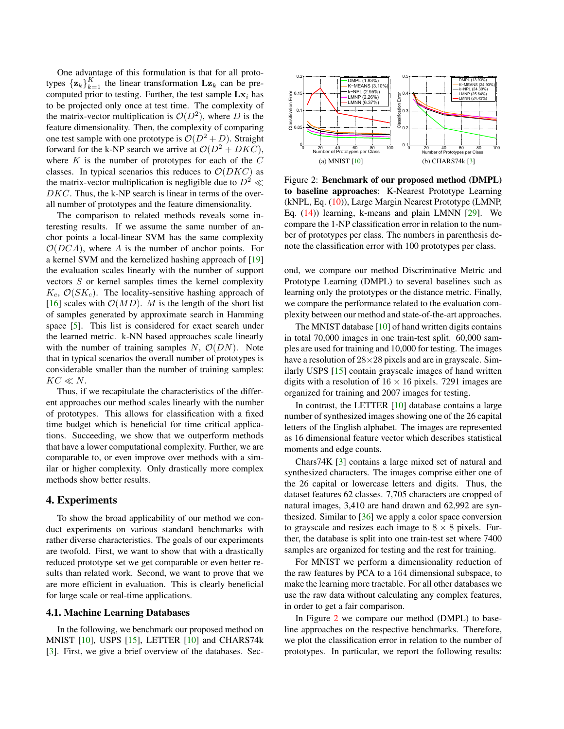<span id="page-4-3"></span>One advantage of this formulation is that for all prototypes  ${\mathbf{z}_k}_{k=1}^K$  the linear transformation  ${\mathbf{L}}{\mathbf{z}_k}$  can be precomputed prior to testing. Further, the test sample  $\mathbf{L}\mathbf{x}_i$  has to be projected only once at test time. The complexity of the matrix-vector multiplication is  $\mathcal{O}(D^2)$ , where D is the feature dimensionality. Then, the complexity of comparing one test sample with one prototype is  $O(D^2 + D)$ . Straight forward for the k-NP search we arrive at  $O(D^2 + DKC)$ , where  $K$  is the number of prototypes for each of the  $C$ classes. In typical scenarios this reduces to  $\mathcal{O}(DKC)$  as the matrix-vector multiplication is negligible due to  $D^2 \ll$  $DKC$ . Thus, the k-NP search is linear in terms of the overall number of prototypes and the feature dimensionality.

The comparison to related methods reveals some interesting results. If we assume the same number of anchor points a local-linear SVM has the same complexity  $\mathcal{O}(DCA)$ , where A is the number of anchor points. For a kernel SVM and the kernelized hashing approach of [\[19\]](#page-7-9) the evaluation scales linearly with the number of support vectors S or kernel samples times the kernel complexity  $K_c$ ,  $\mathcal{O}(SK_c)$ . The locality-sensitive hashing approach of [\[16\]](#page-7-5) scales with  $\mathcal{O}(MD)$ . M is the length of the short list of samples generated by approximate search in Hamming space [\[5\]](#page-7-17). This list is considered for exact search under the learned metric. k-NN based approaches scale linearly with the number of training samples  $N$ ,  $\mathcal{O}(DN)$ . Note that in typical scenarios the overall number of prototypes is considerable smaller than the number of training samples:  $KC \ll N$ .

Thus, if we recapitulate the characteristics of the different approaches our method scales linearly with the number of prototypes. This allows for classification with a fixed time budget which is beneficial for time critical applications. Succeeding, we show that we outperform methods that have a lower computational complexity. Further, we are comparable to, or even improve over methods with a similar or higher complexity. Only drastically more complex methods show better results.

# <span id="page-4-0"></span>4. Experiments

To show the broad applicability of our method we conduct experiments on various standard benchmarks with rather diverse characteristics. The goals of our experiments are twofold. First, we want to show that with a drastically reduced prototype set we get comparable or even better results than related work. Second, we want to prove that we are more efficient in evaluation. This is clearly beneficial for large scale or real-time applications.

# 4.1. Machine Learning Databases

In the following, we benchmark our proposed method on MNIST [\[10\]](#page-7-18), USPS [\[15\]](#page-7-19), LETTER [\[10\]](#page-7-18) and CHARS74k [\[3\]](#page-7-20). First, we give a brief overview of the databases. Sec-

<span id="page-4-1"></span>

<span id="page-4-2"></span>Figure 2: Benchmark of our proposed method (DMPL) to baseline approaches: K-Nearest Prototype Learning (kNPL, Eq. [\(10\)](#page-3-3)), Large Margin Nearest Prototype (LMNP, Eq. [\(14\)](#page-3-4)) learning, k-means and plain LMNN [\[29\]](#page-7-1). We compare the 1-NP classification error in relation to the number of prototypes per class. The numbers in parenthesis denote the classification error with 100 prototypes per class.

ond, we compare our method Discriminative Metric and Prototype Learning (DMPL) to several baselines such as learning only the prototypes or the distance metric. Finally, we compare the performance related to the evaluation complexity between our method and state-of-the-art approaches.

The MNIST database  $[10]$  of hand written digits contains in total 70,000 images in one train-test split. 60,000 samples are used for training and 10,000 for testing. The images have a resolution of  $28\times28$  pixels and are in grayscale. Similarly USPS [\[15\]](#page-7-19) contain grayscale images of hand written digits with a resolution of  $16 \times 16$  pixels. 7291 images are organized for training and 2007 images for testing.

In contrast, the LETTER [\[10\]](#page-7-18) database contains a large number of synthesized images showing one of the 26 capital letters of the English alphabet. The images are represented as 16 dimensional feature vector which describes statistical moments and edge counts.

Chars74K [\[3\]](#page-7-20) contains a large mixed set of natural and synthesized characters. The images comprise either one of the 26 capital or lowercase letters and digits. Thus, the dataset features 62 classes. 7,705 characters are cropped of natural images, 3,410 are hand drawn and 62,992 are synthesized. Similar to [\[36\]](#page-7-14) we apply a color space conversion to grayscale and resizes each image to  $8 \times 8$  pixels. Further, the database is split into one train-test set where 7400 samples are organized for testing and the rest for training.

For MNIST we perform a dimensionality reduction of the raw features by PCA to a 164 dimensional subspace, to make the learning more tractable. For all other databases we use the raw data without calculating any complex features, in order to get a fair comparison.

In Figure [2](#page-4-1) we compare our method (DMPL) to baseline approaches on the respective benchmarks. Therefore, we plot the classification error in relation to the number of prototypes. In particular, we report the following results: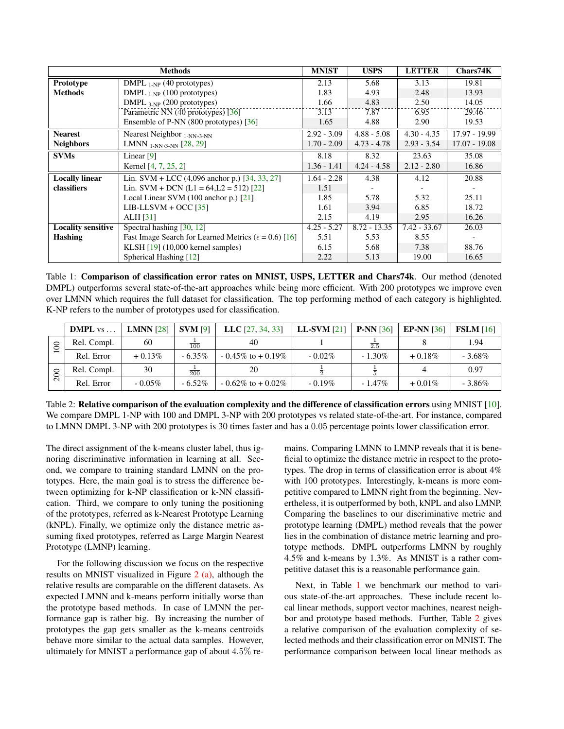<span id="page-5-2"></span><span id="page-5-0"></span>

| <b>Methods</b>                                           |                                                                |               | <b>USPS</b>    | <b>LETTER</b>  | Chars74K        |
|----------------------------------------------------------|----------------------------------------------------------------|---------------|----------------|----------------|-----------------|
| Prototype                                                | DMPL $_{1-NP}$ (40 prototypes)                                 | 2.13          | 5.68           | 3.13           | 19.81           |
| <b>Methods</b>                                           | DMPL $_{1-NP}$ (100 prototypes)                                | 1.83          | 4.93           | 2.48           | 13.93           |
|                                                          | DMPL $_{3-NP}$ (200 prototypes)                                | 1.66          | 4.83           | 2.50           | 14.05           |
|                                                          | Parametric NN (40 prototypes) [36]                             |               | 7.87           | 6.95           | 29.46           |
|                                                          | Ensemble of P-NN (800 prototypes) [36]                         | 1.65          | 4.88           | 2.90           | 19.53           |
| <b>Nearest</b>                                           | Nearest Neighbor 1-NN,3-NN                                     |               | $4.88 - 5.08$  | $4.30 - 4.35$  | 17.97 - 19.99   |
| <b>Neighbors</b>                                         | LMNN $_{1-NN},_{3-NN}$ [28, 29]                                | $1.70 - 2.09$ | $4.73 - 4.78$  | $2.93 - 3.54$  | $17.07 - 19.08$ |
| <b>SVMs</b><br>Linear $[9]$                              |                                                                | 8.18          | 8.32           | 23.63          | 35.08           |
|                                                          | Kernel [4, 7, 25, 2]                                           | $1.36 - 1.41$ | $4.24 - 4.58$  | $2.12 - 2.80$  | 16.86           |
| <b>Locally linear</b>                                    | Lin. SVM + LCC $(4,096$ anchor p.) $[34, 33, 27]$              | $1.64 - 2.28$ | 4.38           | 4.12           | 20.88           |
| Lin. SVM + DCN $(L1 = 64, L2 = 512)$ [22]<br>classifiers |                                                                | 1.51          |                |                |                 |
|                                                          | Local Linear SVM (100 anchor p.) [21]                          |               | 5.78           | 5.32           | 25.11           |
|                                                          | $LIB-LLSVM + OCC [35]$                                         |               | 3.94           | 6.85           | 18.72           |
|                                                          | ALH [31]                                                       | 2.15          | 4.19           | 2.95           | 16.26           |
| Spectral hashing [30, 12]<br><b>Locality sensitive</b>   |                                                                | $4.25 - 5.27$ | $8.72 - 13.35$ | $7.42 - 33.67$ | 26.03           |
| Hashing                                                  | Fast Image Search for Learned Metrics ( $\epsilon$ = 0.6) [16] | 5.51          | 5.53           | 8.55           |                 |
|                                                          | KLSH $[19]$ $(10,000$ kernel samples)                          | 6.15          | 5.68           | 7.38           | 88.76           |
|                                                          | Spherical Hashing [12]                                         | 2.22          | 5.13           | 19.00          | 16.65           |

Table 1: Comparison of classification error rates on MNIST, USPS, LETTER and Chars74k. Our method (denoted DMPL) outperforms several state-of-the-art approaches while being more efficient. With 200 prototypes we improve even over LMNN which requires the full dataset for classification. The top performing method of each category is highlighted. K-NP refers to the number of prototypes used for classification.

<span id="page-5-1"></span>

|           | <b>DMPL</b> $vs \ldots$ | <b>LMNN</b> $[28]$ | <b>SVM [9]</b>   | LLC $[27, 34, 33]$     | LL-SVM $[21]$ | <b>P-NN</b> $[36]$ | EP-NN $[36]$ | $\textbf{FSLM}$ [16] |
|-----------|-------------------------|--------------------|------------------|------------------------|---------------|--------------------|--------------|----------------------|
|           | Rel. Compl.             | 60                 | $\overline{100}$ | 40                     |               | 2.5                |              | 1.94                 |
|           | Rel. Error              | $+0.13\%$          | $-6.35\%$        | $-0.45\%$ to $+0.19\%$ | $-0.02\%$     | $-1.30\%$          | $+0.18\%$    | $-3.68\%$            |
| $\approx$ | Rel. Compl.             | 30                 | $\overline{200}$ | 20                     |               |                    |              | 0.97                 |
|           | Rel. Error              | $-0.05\%$          | $-6.52\%$        | $-0.62\%$ to $+0.02\%$ | $-0.19\%$     | $-1.47\%$          | $+0.01\%$    | $-3.86\%$            |

Table 2: Relative comparison of the evaluation complexity and the difference of classification errors using MNIST [\[10\]](#page-7-18). We compare DMPL 1-NP with 100 and DMPL 3-NP with 200 prototypes vs related state-of-the-art. For instance, compared to LMNN DMPL 3-NP with 200 prototypes is 30 times faster and has a 0.05 percentage points lower classification error.

The direct assignment of the k-means cluster label, thus ignoring discriminative information in learning at all. Second, we compare to training standard LMNN on the prototypes. Here, the main goal is to stress the difference between optimizing for k-NP classification or k-NN classification. Third, we compare to only tuning the positioning of the prototypes, referred as k-Nearest Prototype Learning (kNPL). Finally, we optimize only the distance metric assuming fixed prototypes, referred as Large Margin Nearest Prototype (LMNP) learning.

For the following discussion we focus on the respective results on MNIST visualized in Figure [2](#page-4-1) [\(a\),](#page-4-2) although the relative results are comparable on the different datasets. As expected LMNN and k-means perform initially worse than the prototype based methods. In case of LMNN the performance gap is rather big. By increasing the number of prototypes the gap gets smaller as the k-means centroids behave more similar to the actual data samples. However, ultimately for MNIST a performance gap of about 4.5% remains. Comparing LMNN to LMNP reveals that it is beneficial to optimize the distance metric in respect to the prototypes. The drop in terms of classification error is about 4% with 100 prototypes. Interestingly, k-means is more competitive compared to LMNN right from the beginning. Nevertheless, it is outperformed by both, kNPL and also LMNP. Comparing the baselines to our discriminative metric and prototype learning (DMPL) method reveals that the power lies in the combination of distance metric learning and prototype methods. DMPL outperforms LMNN by roughly 4.5% and k-means by 1.3%. As MNIST is a rather competitive dataset this is a reasonable performance gain.

Next, in Table [1](#page-5-0) we benchmark our method to various state-of-the-art approaches. These include recent local linear methods, support vector machines, nearest neighbor and prototype based methods. Further, Table [2](#page-5-1) gives a relative comparison of the evaluation complexity of selected methods and their classification error on MNIST. The performance comparison between local linear methods as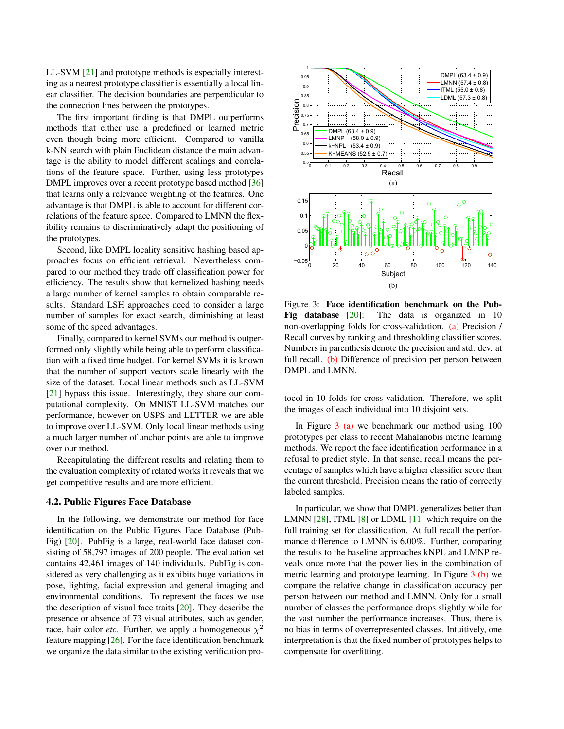<span id="page-6-3"></span>LL-SVM [\[21\]](#page-7-30) and prototype methods is especially interesting as a nearest prototype classifier is essentially a local linear classifier. The decision boundaries are perpendicular to the connection lines between the prototypes.

The first important finding is that DMPL outperforms methods that either use a predefined or learned metric even though being more efficient. Compared to vanilla k-NN search with plain Euclidean distance the main advantage is the ability to model different scalings and correlations of the feature space. Further, using less prototypes DMPL improves over a recent prototype based method [\[36\]](#page-7-14) that learns only a relevance weighting of the features. One advantage is that DMPL is able to account for different correlations of the feature space. Compared to LMNN the flexibility remains to discriminatively adapt the positioning of the prototypes.

Second, like DMPL locality sensitive hashing based approaches focus on efficient retrieval. Nevertheless compared to our method they trade off classification power for efficiency. The results show that kernelized hashing needs a large number of kernel samples to obtain comparable results. Standard LSH approaches need to consider a large number of samples for exact search, diminishing at least some of the speed advantages.

Finally, compared to kernel SVMs our method is outperformed only slightly while being able to perform classification with a fixed time budget. For kernel SVMs it is known that the number of support vectors scale linearly with the size of the dataset. Local linear methods such as LL-SVM [\[21\]](#page-7-30) bypass this issue. Interestingly, they share our computational complexity. On MNIST LL-SVM matches our performance, however on USPS and LETTER we are able to improve over LL-SVM. Only local linear methods using a much larger number of anchor points are able to improve over our method.

Recapitulating the different results and relating them to the evaluation complexity of related works it reveals that we get competitive results and are more efficient.

#### 4.2. Public Figures Face Database

In the following, we demonstrate our method for face identification on the Public Figures Face Database (Pub-Fig) [\[20\]](#page-7-11). PubFig is a large, real-world face dataset consisting of 58,797 images of 200 people. The evaluation set contains 42,461 images of 140 individuals. PubFig is considered as very challenging as it exhibits huge variations in pose, lighting, facial expression and general imaging and environmental conditions. To represent the faces we use the description of visual face traits [\[20\]](#page-7-11). They describe the presence or absence of 73 visual attributes, such as gender, race, hair color *etc*. Further, we apply a homogeneous  $\chi^2$ feature mapping  $[26]$ . For the face identification benchmark we organize the data similar to the existing verification pro-

<span id="page-6-2"></span><span id="page-6-0"></span>

<span id="page-6-1"></span>Figure 3: Face identification benchmark on the Pub-Fig database [\[20\]](#page-7-11): The data is organized in 10 non-overlapping folds for cross-validation. [\(a\)](#page-6-0) Precision / Recall curves by ranking and thresholding classifier scores. Numbers in parenthesis denote the precision and std. dev. at full recall. [\(b\)](#page-6-1) Difference of precision per person between DMPL and LMNN.

tocol in 10 folds for cross-validation. Therefore, we split the images of each individual into 10 disjoint sets.

In Figure  $3$  [\(a\)](#page-6-0) we benchmark our method using 100 prototypes per class to recent Mahalanobis metric learning methods. We report the face identification performance in a refusal to predict style. In that sense, recall means the percentage of samples which have a higher classifier score than the current threshold. Precision means the ratio of correctly labeled samples.

In particular, we show that DMPL generalizes better than LMNN  $[28]$ , ITML  $[8]$  or LDML  $[11]$  which require on the full training set for classification. At full recall the performance difference to LMNN is 6.00%. Further, comparing the results to the baseline approaches kNPL and LMNP reveals once more that the power lies in the combination of metric learning and prototype learning. In Figure [3](#page-6-2) [\(b\)](#page-6-1) we compare the relative change in classification accuracy per person between our method and LMNN. Only for a small number of classes the performance drops slightly while for the vast number the performance increases. Thus, there is no bias in terms of overrepresented classes. Intuitively, one interpretation is that the fixed number of prototypes helps to compensate for overfitting.